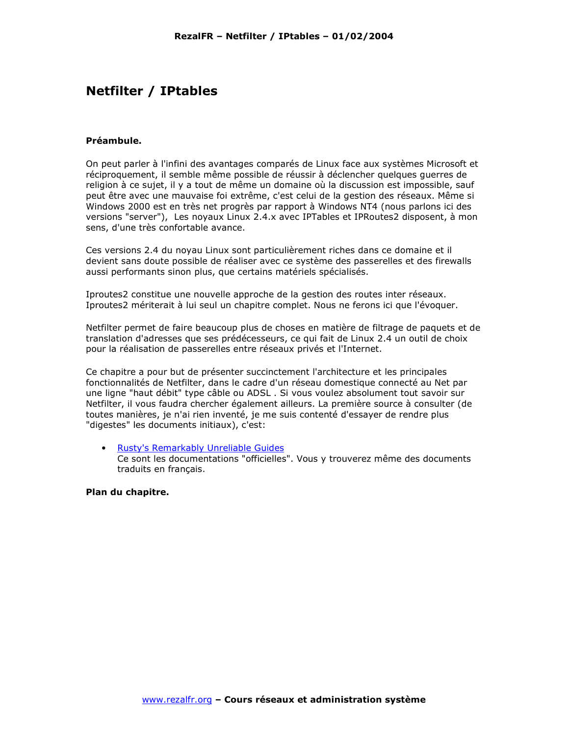# **Netfilter / IPtables**

#### **Préamhule**

On peut parler à l'infini des avantages comparés de Linux face aux systèmes Microsoft et réciproquement, il semble même possible de réussir à déclencher quelques querres de religion à ce sujet, il y a tout de même un domaine où la discussion est impossible, sauf peut être avec une mauvaise foi extrême, c'est celui de la gestion des réseaux. Même si Windows 2000 est en très net progrès par rapport à Windows NT4 (nous parlons ici des versions "server"), Les noyaux Linux 2.4.x avec IPTables et IPRoutes2 disposent, à mon sens, d'une très confortable avance.

Ces versions 2.4 du noyau Linux sont particulièrement riches dans ce domaine et il devient sans doute possible de réaliser avec ce système des passerelles et des firewalls aussi performants sinon plus, que certains matériels spécialisés.

Iproutes2 constitue une nouvelle approche de la gestion des routes inter réseaux. Iproutes2 mériterait à lui seul un chapitre complet. Nous ne ferons ici que l'évoquer.

Netfilter permet de faire beaucoup plus de choses en matière de filtrage de paquets et de translation d'adresses que ses prédécesseurs, ce qui fait de Linux 2.4 un outil de choix pour la réalisation de passerelles entre réseaux privés et l'Internet.

Ce chapitre a pour but de présenter succinctement l'architecture et les principales fonctionnalités de Netfilter, dans le cadre d'un réseau domestique connecté au Net par une ligne "haut débit" type câble ou ADSL . Si vous voulez absolument tout savoir sur Netfilter, il vous faudra chercher également ailleurs. La première source à consulter (de toutes manières, je n'ai rien inventé, je me suis contenté d'essayer de rendre plus "digestes" les documents initiaux), c'est:

 $\bullet$  . Rusty's Remarkably Unreliable Guides Ce sont les documentations "officielles". Vous y trouverez même des documents traduits en français.

#### Plan du chapitre.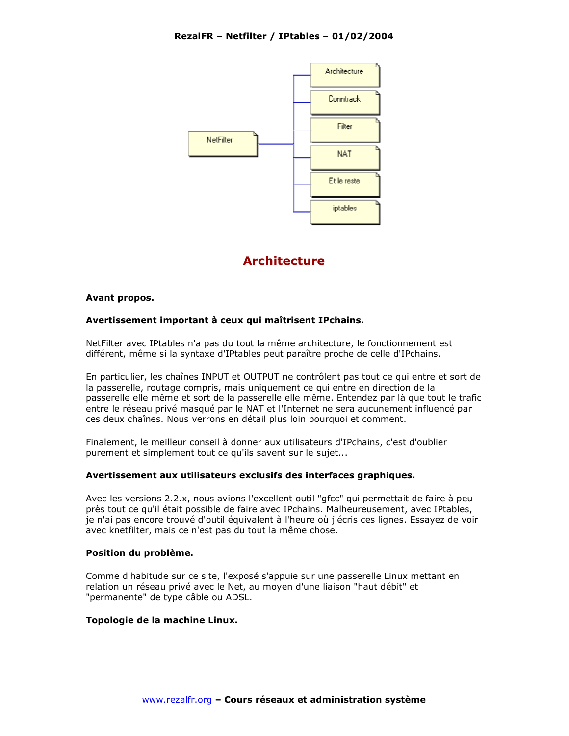

# **Architecture**

#### Avant propos.

## Avertissement important à ceux qui maîtrisent IPchains.

NetFilter avec IPtables n'a pas du tout la même architecture, le fonctionnement est différent, même si la syntaxe d'IPtables peut paraître proche de celle d'IPchains.

En particulier, les chaînes INPUT et OUTPUT ne contrôlent pas tout ce qui entre et sort de la passerelle, routage compris, mais uniquement ce qui entre en direction de la passerelle elle même et sort de la passerelle elle même. Entendez par là que tout le trafic entre le réseau privé masqué par le NAT et l'Internet ne sera aucunement influencé par ces deux chaînes. Nous verrons en détail plus loin pourquoi et comment.

Finalement, le meilleur conseil à donner aux utilisateurs d'IPchains, c'est d'oublier purement et simplement tout ce qu'ils savent sur le sujet...

## Avertissement aux utilisateurs exclusifs des interfaces graphiques.

Avec les versions 2.2.x, nous avions l'excellent outil "gfcc" qui permettait de faire à peu près tout ce qu'il était possible de faire avec IPchains. Malheureusement, avec IPtables, je n'ai pas encore trouvé d'outil équivalent à l'heure où j'écris ces lignes. Essayez de voir avec knetfilter, mais ce n'est pas du tout la même chose.

#### Position du problème.

Comme d'habitude sur ce site, l'exposé s'appuie sur une passerelle Linux mettant en relation un réseau privé avec le Net, au moyen d'une liaison "haut débit" et "permanente" de type câble ou ADSL.

#### Topologie de la machine Linux.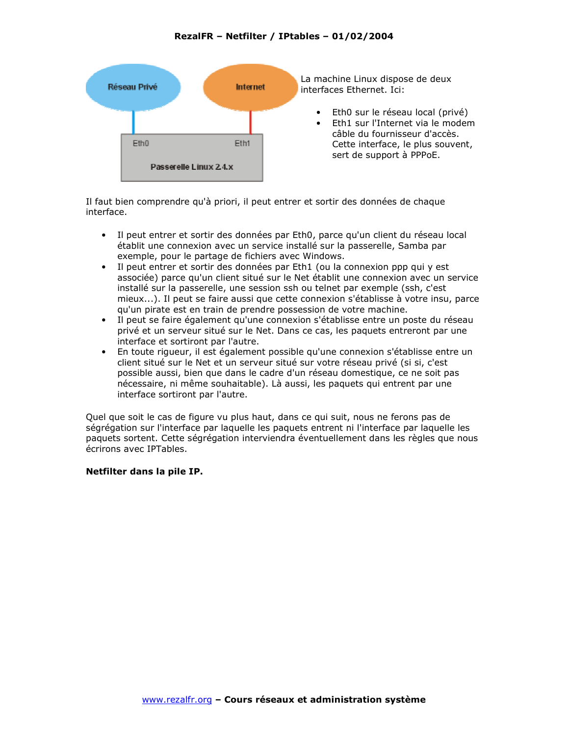

Il faut bien comprendre qu'à priori, il peut entrer et sortir des données de chaque interface.

- Il peut entrer et sortir des données par Eth0, parce qu'un client du réseau local  $\bullet$ établit une connexion avec un service installé sur la passerelle, Samba par exemple, pour le partage de fichiers avec Windows.
- Il peut entrer et sortir des données par Eth1 (ou la connexion ppp qui y est associée) parce qu'un client situé sur le Net établit une connexion avec un service installé sur la passerelle, une session ssh ou telnet par exemple (ssh, c'est mieux...). Il peut se faire aussi que cette connexion s'établisse à votre insu, parce gu'un pirate est en train de prendre possession de votre machine.
- $\bullet$ Il peut se faire également qu'une connexion s'établisse entre un poste du réseau privé et un serveur situé sur le Net. Dans ce cas, les paquets entreront par une interface et sortiront par l'autre.
- $\bullet$ En toute rigueur, il est également possible qu'une connexion s'établisse entre un client situé sur le Net et un serveur situé sur votre réseau privé (si si, c'est possible aussi, bien que dans le cadre d'un réseau domestique, ce ne soit pas nécessaire, ni même souhaitable). Là aussi, les paquets qui entrent par une interface sortiront par l'autre.

Quel que soit le cas de figure vu plus haut, dans ce qui suit, nous ne ferons pas de ségrégation sur l'interface par laquelle les paquets entrent ni l'interface par laquelle les paquets sortent. Cette ségrégation interviendra éventuellement dans les règles que nous écrirons avec IPTables.

## Netfilter dans la pile IP.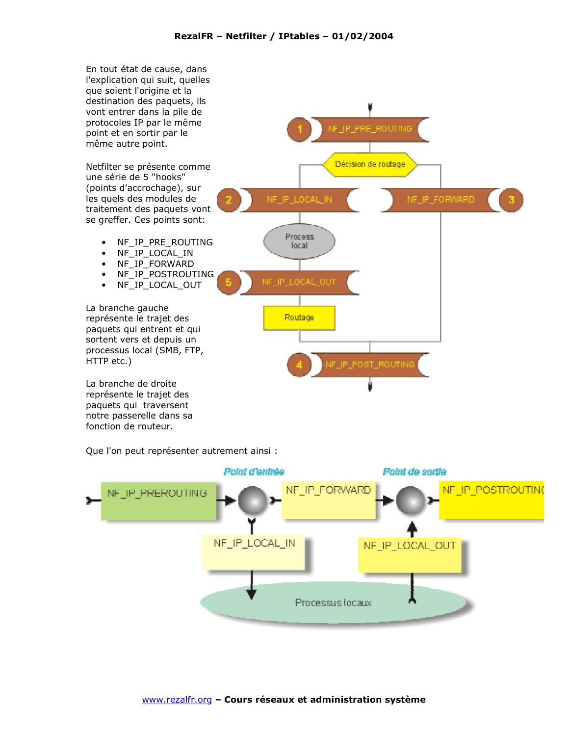

Que l'on peut représenter autrement ainsi :

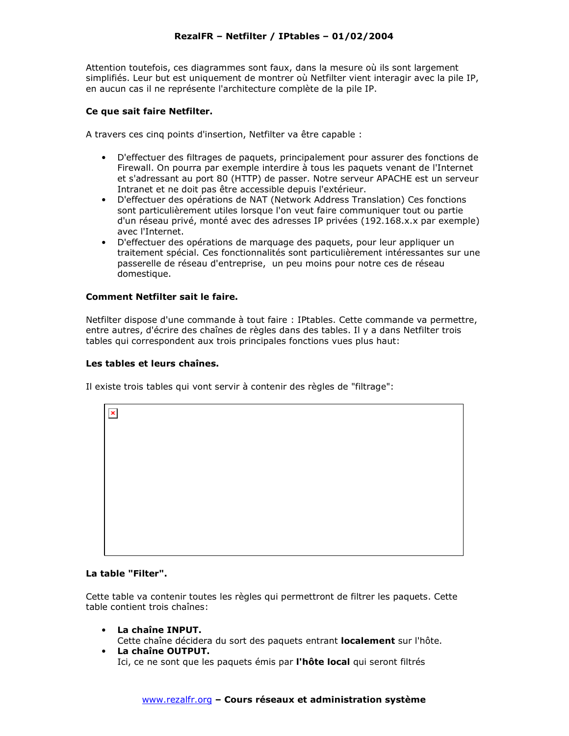Attention toutefois, ces diagrammes sont faux, dans la mesure où ils sont largement simplifiés. Leur but est uniquement de montrer où Netfilter vient interagir avec la pile IP, en aucun cas il ne représente l'architecture complète de la pile IP.

#### Ce que sait faire Netfilter.

A travers ces cing points d'insertion, Netfilter va être capable :

- D'effectuer des filtrages de paquets, principalement pour assurer des fonctions de Firewall. On pourra par exemple interdire à tous les paquets venant de l'Internet et s'adressant au port 80 (HTTP) de passer. Notre serveur APACHE est un serveur Intranet et ne doit pas être accessible depuis l'extérieur.
- D'effectuer des opérations de NAT (Network Address Translation) Ces fonctions sont particulièrement utiles lorsque l'on veut faire communiquer tout ou partie d'un réseau privé, monté avec des adresses IP privées (192.168.x.x par exemple) avec l'Internet.
- D'effectuer des opérations de marquage des paquets, pour leur appliquer un traitement spécial. Ces fonctionnalités sont particulièrement intéressantes sur une passerelle de réseau d'entreprise, un peu moins pour notre ces de réseau domestique.

## Comment Netfilter sait le faire.

Netfilter dispose d'une commande à tout faire : IPtables. Cette commande va permettre, entre autres, d'écrire des chaînes de règles dans des tables. Il y a dans Netfilter trois tables qui correspondent aux trois principales fonctions vues plus haut:

#### Les tables et leurs chaînes.

Il existe trois tables qui vont servir à contenir des règles de "filtrage":

| $\vert x \vert$ |  |
|-----------------|--|
|                 |  |
|                 |  |
|                 |  |
|                 |  |
|                 |  |
|                 |  |
|                 |  |
|                 |  |

#### La table "Filter".

Cette table va contenir toutes les règles qui permettront de filtrer les paquets. Cette table contient trois chaînes:

- La chaîne INPUT. Cette chaîne décidera du sort des paquets entrant localement sur l'hôte.
- La chaîne OUTPUT. Ici, ce ne sont que les paquets émis par l'hôte local qui seront filtrés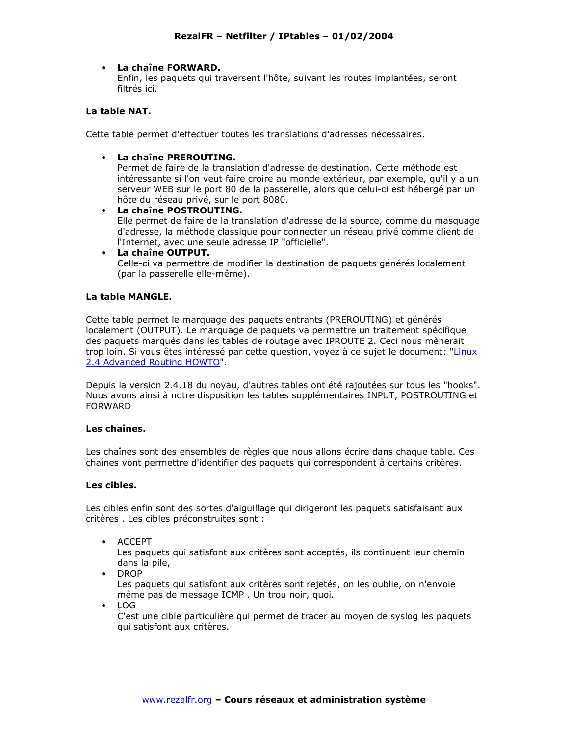## La chaîne FORWARD.

Enfin, les paquets qui traversent l'hôte, suivant les routes implantées, seront filtrés ici.

#### La table NAT.

Cette table permet d'effectuer toutes les translations d'adresses nécessaires.

• La chaîne PREROUTING.

Permet de faire de la translation d'adresse de destination. Cette méthode est intéressante si l'on veut faire croire au monde extérieur, par exemple, qu'il y a un serveur WEB sur le port 80 de la passerelle, alors que celui-ci est hébergé par un hôte du réseau privé, sur le port 8080.

- La chaîne POSTROUTING. Elle permet de faire de la translation d'adresse de la source, comme du masquage d'adresse, la méthode classique pour connecter un réseau privé comme client de l'Internet, avec une seule adresse IP "officielle".
- La chaîne OUTPUT. Celle-ci va permettre de modifier la destination de paquets générés localement (par la passerelle elle-même).

## La table MANGLE.

Cette table permet le marquage des paquets entrants (PREROUTING) et générés localement (OUTPUT). Le marquage de paquets va permettre un traitement spécifique des paquets marqués dans les tables de routage avec IPROUTE 2. Ceci nous mènerait trop loin. Si vous êtes intéressé par cette question, voyez à ce sujet le document: "Linux 2.4 Advanced Routing HOWTO".

Depuis la version 2.4.18 du novau, d'autres tables ont été rajoutées sur tous les "hooks". Nous avons ainsi à notre disposition les tables supplémentaires INPUT, POSTROUTING et **FORWARD** 

#### Les chaînes.

Les chaînes sont des ensembles de règles que nous allons écrire dans chaque table. Ces chaînes vont permettre d'identifier des paquets qui correspondent à certains critères.

#### Les cibles.

Les cibles enfin sont des sortes d'aiguillage qui dirigeront les paquets satisfaisant aux critères . Les cibles préconstruites sont :

• ACCEPT

Les paquets qui satisfont aux critères sont acceptés, ils continuent leur chemin dans la pile,

• DROP

Les paquets qui satisfont aux critères sont rejetés, on les oublie, on n'envoie même pas de message ICMP. Un trou noir, quoi.

 $\bullet$  LOG

C'est une cible particulière qui permet de tracer au moyen de syslog les paquets qui satisfont aux critères.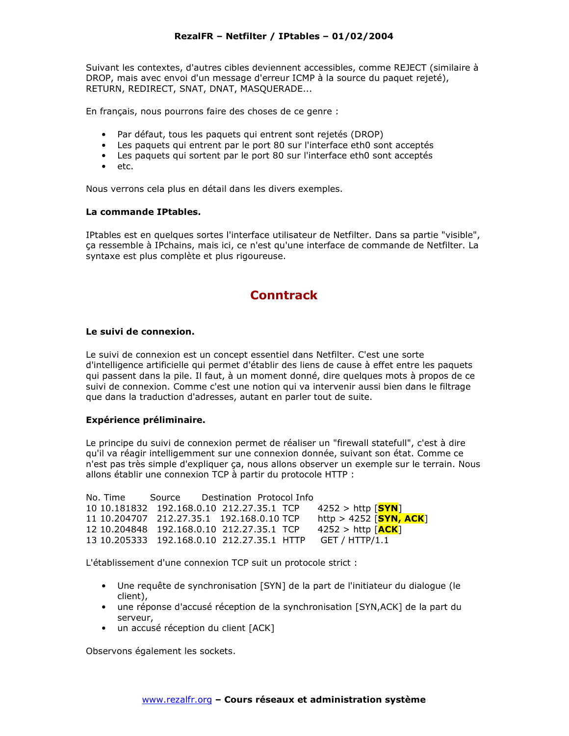Suivant les contextes, d'autres cibles deviennent accessibles, comme REJECT (similaire à DROP, mais avec envoi d'un message d'erreur ICMP à la source du paquet rejeté), RETURN, REDIRECT, SNAT, DNAT, MASQUERADE...

En français, nous pourrons faire des choses de ce genre :

- Par défaut, tous les paquets qui entrent sont rejetés (DROP)
- Les paquets qui entrent par le port 80 sur l'interface eth0 sont acceptés
- Les paquets qui sortent par le port 80 sur l'interface eth0 sont acceptés
- $\bullet$  etc.

Nous verrons cela plus en détail dans les divers exemples.

#### La commande IPtables.

IPtables est en quelques sortes l'interface utilisateur de Netfilter. Dans sa partie "visible", ça ressemble à IPchains, mais ici, ce n'est qu'une interface de commande de Netfilter. La syntaxe est plus complète et plus rigoureuse.

## **Conntrack**

#### Le suivi de connexion.

Le suivi de connexion est un concept essentiel dans Netfilter. C'est une sorte d'intelligence artificielle qui permet d'établir des liens de cause à effet entre les paquets qui passent dans la pile. Il faut, à un moment donné, dire quelques mots à propos de ce suivi de connexion. Comme c'est une notion qui va intervenir aussi bien dans le filtrage que dans la traduction d'adresses, autant en parler tout de suite.

## Expérience préliminaire.

Le principe du suivi de connexion permet de réaliser un "firewall statefull", c'est à dire qu'il va réagir intelligemment sur une connexion donnée, suivant son état. Comme ce n'est pas très simple d'expliquer ça, nous allons observer un exemple sur le terrain. Nous allons établir une connexion TCP à partir du protocole HTTP :

No. Time Source Destination Protocol Info 10 10.181832 192.168.0.10 212.27.35.1 TCP  $4252 >$  http  $[SYN]$ 11 10.204707 212.27.35.1 192.168.0.10 TCP http > 4252 [**SYN, ACK**] 12 10.204848 192.168.0.10 212.27.35.1 TCP  $4252 >$  http  $\sqrt{\text{ACK}}$ 13 10.205333 192.168.0.10 212.27.35.1 HTTP GET / HTTP/1.1

L'établissement d'une connexion TCP suit un protocole strict :

- Une requête de synchronisation [SYN] de la part de l'initiateur du dialogue (le client),
- une réponse d'accusé réception de la synchronisation [SYN,ACK] de la part du serveur,
- · un accusé réception du client [ACK]

Observons également les sockets.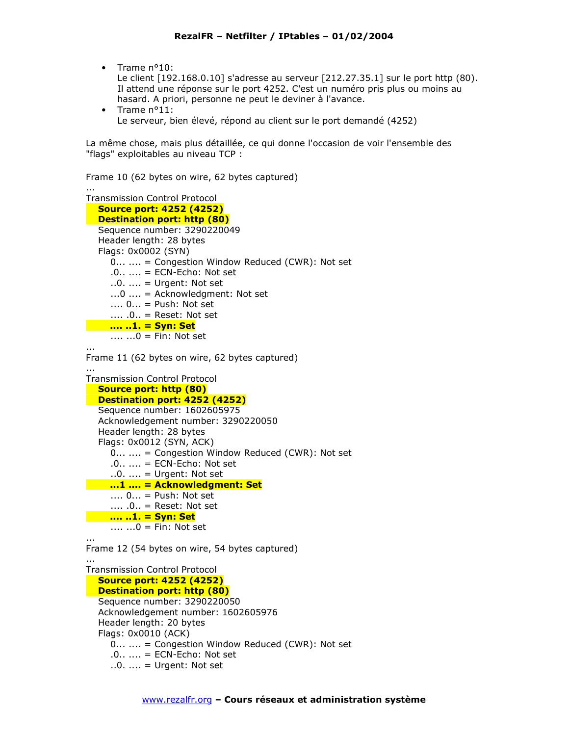$\bullet$  Trame  $n^{\circ}10$ :

Le client [192.168.0.10] s'adresse au serveur [212.27.35.1] sur le port http (80). Il attend une réponse sur le port 4252. C'est un numéro pris plus ou moins au hasard. A priori, personne ne peut le deviner à l'avance.

 $\bullet$  Trame  $n^{\circ}11$ : Le serveur, bien élevé, répond au client sur le port demandé (4252)

La même chose, mais plus détaillée, ce qui donne l'occasion de voir l'ensemble des "flags" exploitables au niveau TCP :

Frame 10 (62 bytes on wire, 62 bytes captured)

```
Transmission Control Protocol
  Source port: 4252 (4252)
  Destination port: http (80)
  Sequence number: 3290220049
  Header length: 28 bytes
  Flags: 0x0002 (SYN)
     0... .... = Congestion Window Reduced (CWR): Not set
     .0... ... = ECN-Echo: Not set...0. ... = Urgent: Not set
     \dots0 \dots = Acknowledgment: Not set
     \dots 0\dots = Push: Not set
    \dots .0. = Reset: Not set
<u>.... ..1. = Syn: Set</u>
     ..., ...0 = Fin: Not set
```
Frame 11 (62 bytes on wire, 62 bytes captured)

```
Transmission Control Protocol
  Source port: http (80)
  Destination port: 4252 (4252)
  Sequence number: 1602605975
  Acknowledgement number: 3290220050
  Header length: 28 bytes
  Flags: 0x0012 (SYN, ACK)
     0... .... = Congestion Window Reduced (CWR): Not set
     .0... = ECN-Echo: Not set
     \ldots = Urgent: Not set
   \ldots1 \ldots = Acknowledgment: Set
     \dots 0... = Push: Not set
    \dots .0. = Reset: Not set
   <u>.... ..1. = Syn: Set</u>
     .... ...0 = Fin: Not set
```
 $\ldots$ 

Frame 12 (54 bytes on wire, 54 bytes captured)

 $\cdots$ **Transmission Control Protocol Source port: 4252 (4252) Destination port: http (80)** Sequence number: 3290220050 Acknowledgement number: 1602605976 Header length: 20 bytes Flags: 0x0010 (ACK) 0... .... = Congestion Window Reduced (CWR): Not set  $.0... ... = ECN-Echo: Not set$  $\ldots$  = Urgent: Not set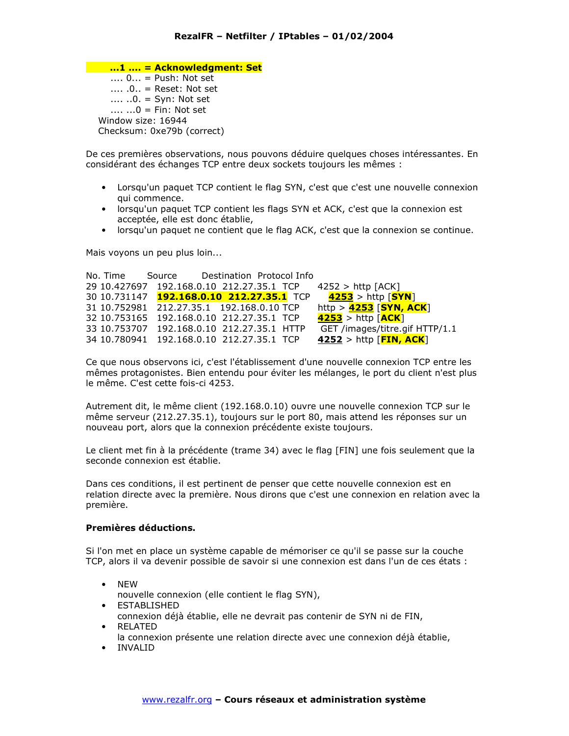...1 .... = Acknowledgment: Set  $\dots$  0... = Push: Not set  $\dots$ ,  $0$ , = Reset: Not set .... .. $0. = Syn$ : Not set ..., ... $0 = Fin: Not set$ Window size: 16944 Checksum: 0xe79b (correct)

De ces premières observations, nous pouvons déduire quelques choses intéressantes. En considérant des échanges TCP entre deux sockets toujours les mêmes :

- Lorsqu'un paquet TCP contient le flag SYN, c'est que c'est une nouvelle connexion qui commence.
- lorsqu'un paquet TCP contient les flags SYN et ACK, c'est que la connexion est acceptée, elle est donc établie,
- lorsqu'un paquet ne contient que le flag ACK, c'est que la connexion se continue.

Mais voyons un peu plus loin...

```
No. Time
          Source
                      Destination Protocol Info
29 10.427697 192.168.0.10 212.27.35.1 TCP
                                             4252 > http [ACK]
30 10.731147 192.168.0.10 212.27.35.1 TCP
                                               4253 > http [SYN]31 10.752981 212.27.35.1 192.168.0.10 TCP
                                             http > 4253 [SYN, ACK]
32 10.753165 192.168.0.10 212.27.35.1 TCP
                                             4253 > http \sqrt{ACK}33 10.753707 192.168.0.10 212.27.35.1 HTTP
                                              GET /images/titre.gif HTTP/1.1
34 10.780941 192.168.0.10 212.27.35.1 TCP
                                             4252 > http [FIN, ACK]
```
Ce que nous observons ici, c'est l'établissement d'une nouvelle connexion TCP entre les mêmes protagonistes. Bien entendu pour éviter les mélanges, le port du client n'est plus le même. C'est cette fois-ci 4253.

Autrement dit, le même client (192.168.0.10) ouvre une nouvelle connexion TCP sur le même serveur (212.27.35.1), toujours sur le port 80, mais attend les réponses sur un nouveau port, alors que la connexion précédente existe toujours.

Le client met fin à la précédente (trame 34) avec le flag [FIN] une fois seulement que la seconde connexion est établie.

Dans ces conditions, il est pertinent de penser que cette nouvelle connexion est en relation directe avec la première. Nous dirons que c'est une connexion en relation avec la première.

#### Premières déductions.

Si l'on met en place un système capable de mémoriser ce qu'il se passe sur la couche TCP, alors il va devenir possible de savoir si une connexion est dans l'un de ces états :

- $\bullet$  NEW
- nouvelle connexion (elle contient le flag SYN),
- ESTABLISHED connexion déjà établie, elle ne devrait pas contenir de SYN ni de FIN, • RELATED
- la connexion présente une relation directe avec une connexion déjà établie,
- INVALID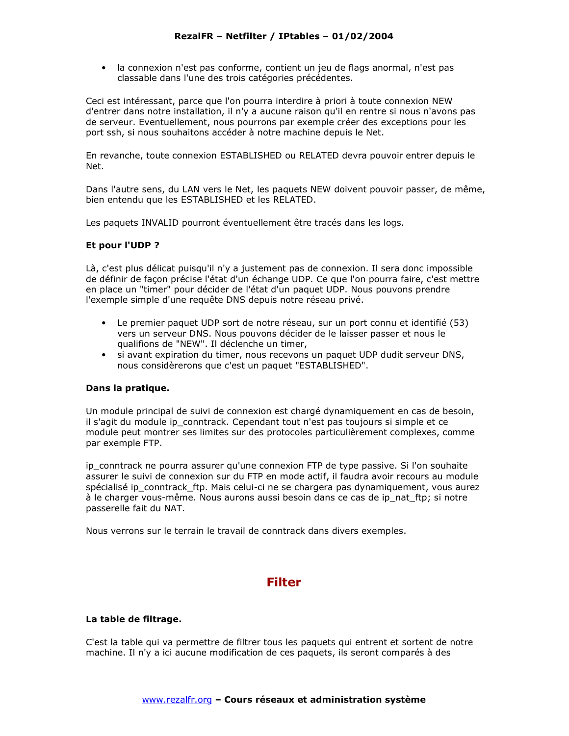· la connexion n'est pas conforme, contient un jeu de flags anormal, n'est pas classable dans l'une des trois catégories précédentes.

Ceci est intéressant, parce que l'on pourra interdire à priori à toute connexion NEW d'entrer dans notre installation, il n'y a aucune raison qu'il en rentre si nous n'avons pas de serveur. Eventuellement, nous pourrons par exemple créer des exceptions pour les port ssh, si nous souhaitons accéder à notre machine depuis le Net.

En revanche, toute connexion ESTABLISHED ou RELATED devra pouvoir entrer depuis le Net.

Dans l'autre sens, du LAN vers le Net, les paquets NEW doivent pouvoir passer, de même, bien entendu que les ESTABLISHED et les RELATED.

Les paquets INVALID pourront éventuellement être tracés dans les logs.

## Et pour l'UDP ?

Là, c'est plus délicat puisqu'il n'y a justement pas de connexion. Il sera donc impossible de définir de façon précise l'état d'un échange UDP. Ce que l'on pourra faire, c'est mettre en place un "timer" pour décider de l'état d'un paquet UDP. Nous pouvons prendre l'exemple simple d'une requête DNS depuis notre réseau privé.

- Le premier paquet UDP sort de notre réseau, sur un port connu et identifié (53) vers un serveur DNS. Nous pouvons décider de le laisser passer et nous le qualifions de "NEW". Il déclenche un timer,
- si avant expiration du timer, nous recevons un paquet UDP dudit serveur DNS, nous considèrerons que c'est un paquet "ESTABLISHED".

## Dans la pratique.

Un module principal de suivi de connexion est chargé dynamiquement en cas de besoin, il s'agit du module ip conntrack. Cependant tout n'est pas toujours si simple et ce module peut montrer ses limites sur des protocoles particulièrement complexes, comme par exemple FTP.

ip conntrack ne pourra assurer qu'une connexion FTP de type passive. Si l'on souhaite assurer le suivi de connexion sur du FTP en mode actif, il faudra avoir recours au module spécialisé ip conntrack ftp. Mais celui-ci ne se chargera pas dynamiquement, vous aurez à le charger vous-même. Nous aurons aussi besoin dans ce cas de ip nat ftp; si notre passerelle fait du NAT.

Nous verrons sur le terrain le travail de conntrack dans divers exemples.

## **Filter**

## La table de filtrage.

C'est la table qui va permettre de filtrer tous les paquets qui entrent et sortent de notre machine. Il n'y a ici aucune modification de ces paquets, ils seront comparés à des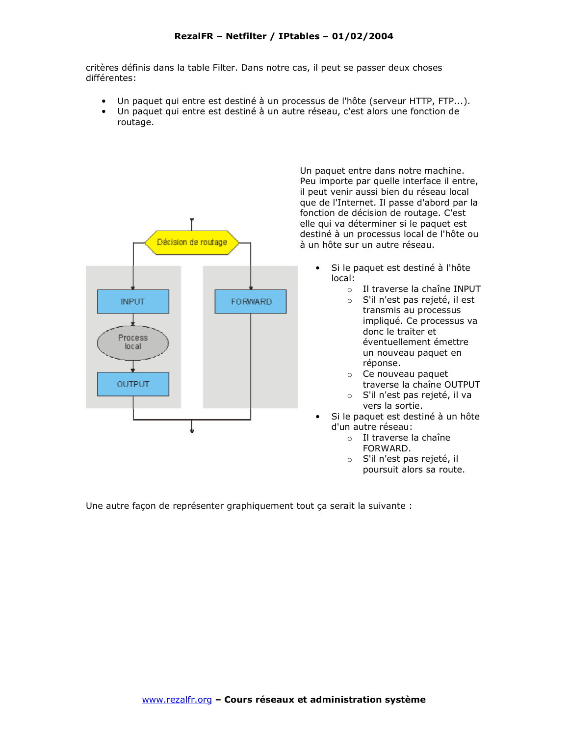critères définis dans la table Filter. Dans notre cas, il peut se passer deux choses différentes:

- Un paquet qui entre est destiné à un processus de l'hôte (serveur HTTP, FTP...).
- Un paquet qui entre est destiné à un autre réseau, c'est alors une fonction de routage.



Un paquet entre dans notre machine. Peu importe par quelle interface il entre, il peut venir aussi bien du réseau local que de l'Internet. Il passe d'abord par la fonction de décision de routage. C'est elle qui va déterminer si le paquet est destiné à un processus local de l'hôte ou à un hôte sur un autre réseau.

- Si le paquet est destiné à l'hôte  $local:$ 
	- o Il traverse la chaîne INPUT
	- S'il n'est pas rejeté, il est transmis au processus impliqué. Ce processus va donc le traiter et éventuellement émettre un nouveau paquet en réponse.
		- $\circ$  Ce nouveau paquet traverse la chaîne OUTPUT
	- o S'il n'est pas rejeté, il va vers la sortie.
- Si le paquet est destiné à un hôte d'un autre réseau:
	- $\circ$  Il traverse la chaîne FORWARD.
	- o S'il n'est pas rejeté, il poursuit alors sa route.

Une autre façon de représenter graphiquement tout ça serait la suivante :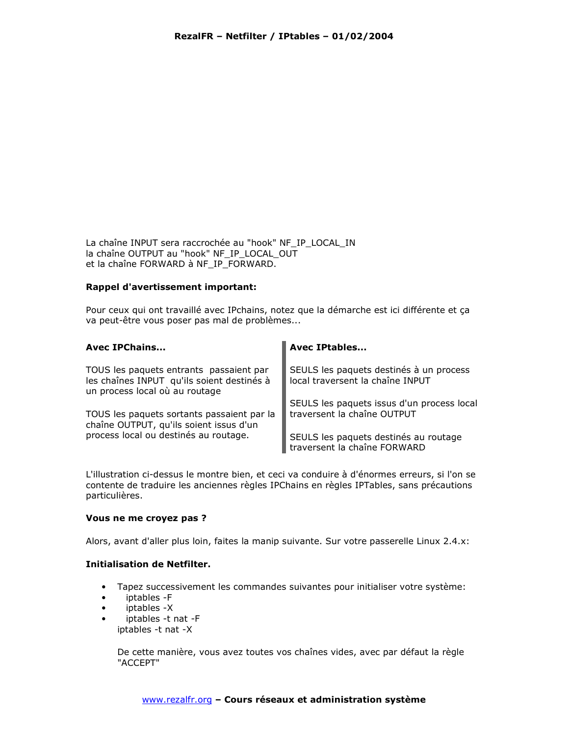La chaîne INPUT sera raccrochée au "hook" NF IP LOCAL IN la chaîne OUTPUT au "hook" NF\_IP\_LOCAL\_OUT et la chaîne FORWARD à NF\_IP\_FORWARD.

## Rappel d'avertissement important:

Pour ceux qui ont travaillé avec IPchains, notez que la démarche est ici différente et ça va peut-être vous poser pas mal de problèmes...

| <b>Avec IPChains</b>                                                                                                    | <b>Avec IPtables</b>                                                        |
|-------------------------------------------------------------------------------------------------------------------------|-----------------------------------------------------------------------------|
| TOUS les paquets entrants passaient par<br>les chaînes INPUT qu'ils soient destinés à<br>un process local où au routage | SEULS les paquets destinés à un process<br>local traversent la chaîne INPUT |
| TOUS les paquets sortants passaient par la<br>chaîne OUTPUT, qu'ils soient issus d'un                                   | SEULS les paquets issus d'un process local<br>traversent la chaîne OUTPUT   |
| process local ou destinés au routage.                                                                                   | SEULS les paquets destinés au routage<br>traversent la chaîne FORWARD       |

L'illustration ci-dessus le montre bien, et ceci va conduire à d'énormes erreurs, si l'on se contente de traduire les anciennes règles IPChains en règles IPTables, sans précautions particulières.

## Vous ne me croyez pas ?

Alors, avant d'aller plus loin, faites la manip suivante. Sur votre passerelle Linux 2.4.x:

## **Initialisation de Netfilter.**

- Tapez successivement les commandes suivantes pour initialiser votre système:  $\bullet$
- iptables -F  $\bullet$
- iptables -X  $\bullet$
- iptables -t nat -F  $\bullet$ iptables -t nat -X

De cette manière, vous avez toutes vos chaînes vides, avec par défaut la règle "ACCEPT"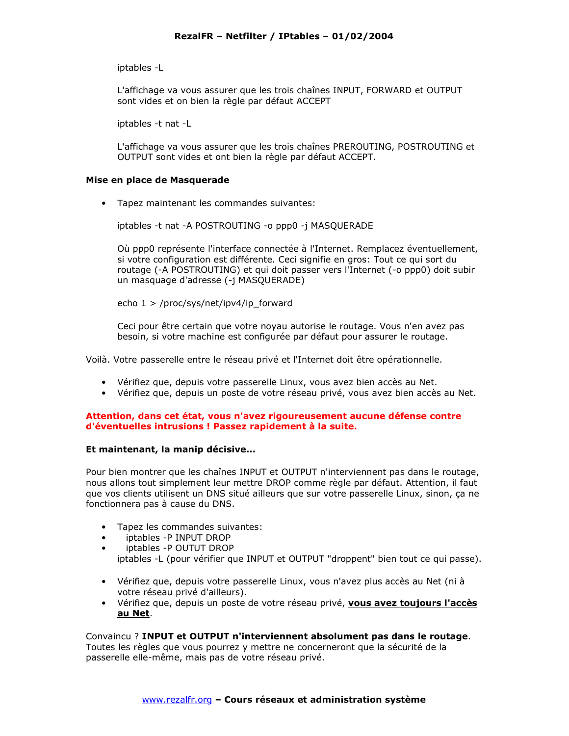iptables -L

L'affichage va vous assurer que les trois chaînes INPUT, FORWARD et OUTPUT sont vides et on bien la règle par défaut ACCEPT

iptables -t nat -L

L'affichage va vous assurer que les trois chaînes PREROUTING, POSTROUTING et OUTPUT sont vides et ont bien la règle par défaut ACCEPT.

#### Mise en place de Masquerade

• Tapez maintenant les commandes suivantes:

iptables -t nat -A POSTROUTING -o ppp0 -j MASQUERADE

Où ppp0 représente l'interface connectée à l'Internet. Remplacez éventuellement, si votre configuration est différente. Ceci signifie en gros: Tout ce qui sort du routage (-A POSTROUTING) et qui doit passer vers l'Internet (-o ppp0) doit subir un masquage d'adresse (-j MASQUERADE)

echo  $1$  > /proc/sys/net/ipv4/ip forward

Ceci pour être certain que votre noyau autorise le routage. Vous n'en avez pas besoin, si votre machine est configurée par défaut pour assurer le routage.

Voilà. Votre passerelle entre le réseau privé et l'Internet doit être opérationnelle.

- · Vérifiez que, depuis votre passerelle Linux, vous avez bien accès au Net.
- · Vérifiez que, depuis un poste de votre réseau privé, vous avez bien accès au Net.

#### Attention, dans cet état, vous n'avez rigoureusement aucune défense contre d'éventuelles intrusions ! Passez rapidement à la suite.

## Et maintenant, la manip décisive...

Pour bien montrer que les chaînes INPUT et OUTPUT n'interviennent pas dans le routage, nous allons tout simplement leur mettre DROP comme règle par défaut. Attention, il faut que vos clients utilisent un DNS situé ailleurs que sur votre passerelle Linux, sinon, ça ne fonctionnera pas à cause du DNS.

- Tapez les commandes suivantes:
- iptables P INPUT DROP
- iptables P OUTUT DROP
- iptables -L (pour vérifier que INPUT et OUTPUT "droppent" bien tout ce qui passe).
- Vérifiez que, depuis votre passerelle Linux, vous n'avez plus accès au Net (ni à votre réseau privé d'ailleurs).
- · Vérifiez que, depuis un poste de votre réseau privé, vous avez toujours l'accès au Net.

Convaincu? INPUT et OUTPUT n'interviennent absolument pas dans le routage. Toutes les règles que vous pourrez y mettre ne concerneront que la sécurité de la passerelle elle-même, mais pas de votre réseau privé.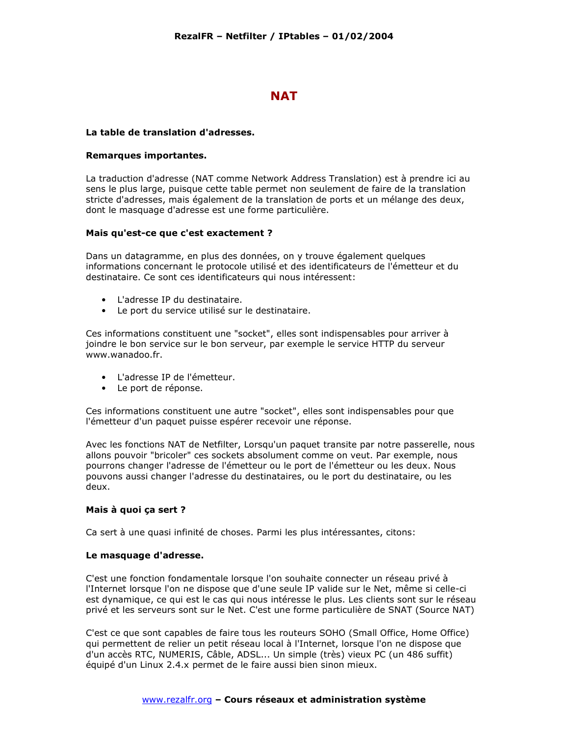## **NAT**

#### La table de translation d'adresses.

#### Remarques importantes.

La traduction d'adresse (NAT comme Network Address Translation) est à prendre ici au sens le plus large, puisque cette table permet non seulement de faire de la translation stricte d'adresses, mais également de la translation de ports et un mélange des deux, dont le masquage d'adresse est une forme particulière.

#### Mais qu'est-ce que c'est exactement ?

Dans un datagramme, en plus des données, on y trouve également quelques informations concernant le protocole utilisé et des identificateurs de l'émetteur et du destinataire. Ce sont ces identificateurs qui nous intéressent:

- $\bullet$  l'adresse IP du destinataire.
- Le port du service utilisé sur le destinataire.

Ces informations constituent une "socket", elles sont indispensables pour arriver à joindre le bon service sur le bon serveur, par exemple le service HTTP du serveur www.wanadoo.fr.

- L'adresse IP de l'émetteur.
- Le port de réponse.

Ces informations constituent une autre "socket", elles sont indispensables pour que l'émetteur d'un paquet puisse espérer recevoir une réponse.

Avec les fonctions NAT de Netfilter, Lorsqu'un paquet transite par notre passerelle, nous allons pouvoir "bricoler" ces sockets absolument comme on veut. Par exemple, nous pourrons changer l'adresse de l'émetteur ou le port de l'émetteur ou les deux. Nous pouvons aussi changer l'adresse du destinataires, ou le port du destinataire, ou les deux.

#### Mais à quoi ça sert ?

Ca sert à une quasi infinité de choses. Parmi les plus intéressantes, citons:

#### Le masquage d'adresse.

C'est une fonction fondamentale lorsque l'on souhaite connecter un réseau privé à l'Internet lorsque l'on ne dispose que d'une seule IP valide sur le Net, même si celle-ci est dynamique, ce qui est le cas qui nous intéresse le plus. Les clients sont sur le réseau privé et les serveurs sont sur le Net. C'est une forme particulière de SNAT (Source NAT)

C'est ce que sont capables de faire tous les routeurs SOHO (Small Office, Home Office) qui permettent de relier un petit réseau local à l'Internet, lorsque l'on ne dispose que d'un accès RTC, NUMERIS, Câble, ADSL... Un simple (très) vieux PC (un 486 suffit) équipé d'un Linux 2.4.x permet de le faire aussi bien sinon mieux.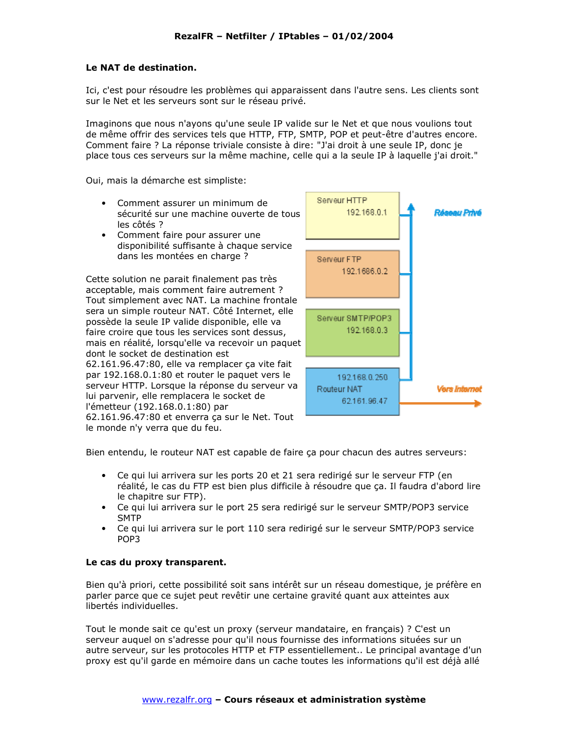## Le NAT de destination.

Ici, c'est pour résoudre les problèmes qui apparaissent dans l'autre sens. Les clients sont sur le Net et les serveurs sont sur le réseau privé.

Imaginons que nous n'ayons qu'une seule IP valide sur le Net et que nous voulions tout de même offrir des services tels que HTTP, FTP, SMTP, POP et peut-être d'autres encore. Comment faire ? La réponse triviale consiste à dire: "J'ai droit à une seule IP, donc je place tous ces serveurs sur la même machine, celle qui a la seule IP à laquelle j'ai droit."

Oui, mais la démarche est simpliste:

Serveur HTTP • Comment assurer un minimum de 192.168.0.1 sécurité sur une machine ouverte de tous les côtés ? • Comment faire pour assurer une disponibilité suffisante à chaque service dans les montées en charge ? Serveur FTP 192.1686.0.2 Cette solution ne parait finalement pas très acceptable, mais comment faire autrement? Tout simplement avec NAT. La machine frontale sera un simple routeur NAT. Côté Internet, elle Serveur SMTP/POP3 possède la seule IP valide disponible, elle va 192.168.0.3 faire croire que tous les services sont dessus, mais en réalité, lorsqu'elle va recevoir un paquet dont le socket de destination est

62.161.96.47:80, elle va remplacer ça vite fait par 192.168.0.1:80 et router le paquet vers le serveur HTTP. Lorsque la réponse du serveur va lui parvenir, elle remplacera le socket de l'émetteur (192.168.0.1:80) par 62.161.96.47:80 et enverra ça sur le Net. Tout



le monde n'y verra que du feu.

Bien entendu, le routeur NAT est capable de faire ça pour chacun des autres serveurs:

- Ce qui lui arrivera sur les ports 20 et 21 sera redirigé sur le serveur FTP (en réalité, le cas du FTP est bien plus difficile à résoudre que ça. Il faudra d'abord lire le chapitre sur FTP).
- Ce qui lui arrivera sur le port 25 sera redirigé sur le serveur SMTP/POP3 service **SMTP**
- Ce qui lui arrivera sur le port 110 sera redirigé sur le serveur SMTP/POP3 service POP<sub>3</sub>

## Le cas du proxy transparent.

Bien qu'à priori, cette possibilité soit sans intérêt sur un réseau domestique, je préfère en parler parce que ce sujet peut revêtir une certaine gravité quant aux atteintes aux libertés individuelles.

Tout le monde sait ce qu'est un proxy (serveur mandataire, en français) ? C'est un serveur auquel on s'adresse pour qu'il nous fournisse des informations situées sur un autre serveur, sur les protocoles HTTP et FTP essentiellement.. Le principal avantage d'un proxy est qu'il garde en mémoire dans un cache toutes les informations qu'il est déjà allé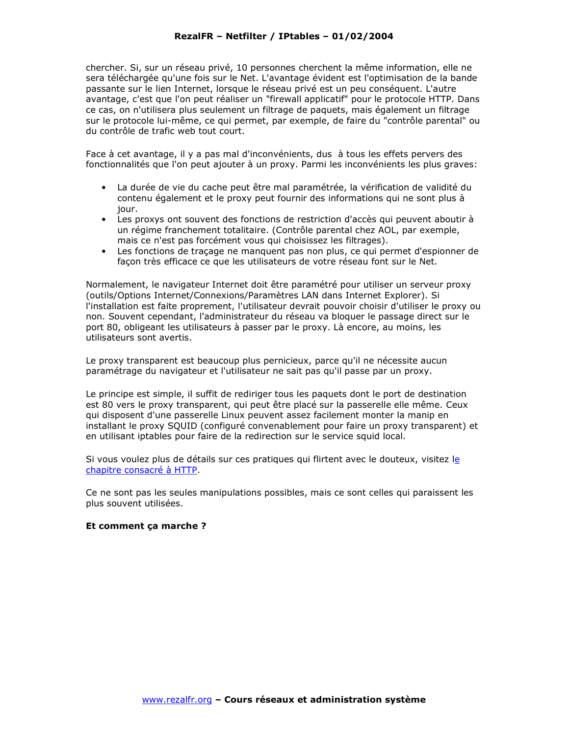chercher. Si, sur un réseau privé, 10 personnes cherchent la même information, elle ne sera téléchargée qu'une fois sur le Net. L'avantage évident est l'optimisation de la bande passante sur le lien Internet, lorsque le réseau privé est un peu conséquent. L'autre avantage, c'est que l'on peut réaliser un "firewall applicatif" pour le protocole HTTP. Dans ce cas, on n'utilisera plus seulement un filtrage de paguets, mais également un filtrage sur le protocole lui-même, ce qui permet, par exemple, de faire du "contrôle parental" ou du contrôle de trafic web tout court.

Face à cet avantage, il y a pas mal d'inconvénients, dus à tous les effets pervers des fonctionnalités que l'on peut ajouter à un proxy. Parmi les inconvénients les plus graves:

- · La durée de vie du cache peut être mal paramétrée, la vérification de validité du contenu également et le proxy peut fournir des informations qui ne sont plus à iour.
- Les proxys ont souvent des fonctions de restriction d'accès qui peuvent aboutir à un régime franchement totalitaire. (Contrôle parental chez AOL, par exemple, mais ce n'est pas forcément vous qui choisissez les filtrages).
- Les fonctions de traçage ne manquent pas non plus, ce qui permet d'espionner de façon très efficace ce que les utilisateurs de votre réseau font sur le Net.

Normalement, le navigateur Internet doit être paramétré pour utiliser un serveur proxy (outils/Options Internet/Connexions/Paramètres LAN dans Internet Explorer). Si l'installation est faite proprement, l'utilisateur devrait pouvoir choisir d'utiliser le proxy ou non. Souvent cependant, l'administrateur du réseau va bloquer le passage direct sur le port 80, obligeant les utilisateurs à passer par le proxy. Là encore, au moins, les utilisateurs sont avertis.

Le proxy transparent est beaucoup plus pernicieux, parce qu'il ne nécessite aucun paramétrage du navigateur et l'utilisateur ne sait pas qu'il passe par un proxy.

Le principe est simple, il suffit de rediriger tous les paguets dont le port de destination est 80 vers le proxy transparent, qui peut être placé sur la passerelle elle même. Ceux qui disposent d'une passerelle Linux peuvent assez facilement monter la manip en installant le proxy SQUID (configuré convenablement pour faire un proxy transparent) et en utilisant iptables pour faire de la redirection sur le service squid local.

Si vous voulez plus de détails sur ces pratiques qui flirtent avec le douteux, visitez le chapitre consacré à HTTP.

Ce ne sont pas les seules manipulations possibles, mais ce sont celles qui paraissent les plus souvent utilisées.

#### Et comment ça marche ?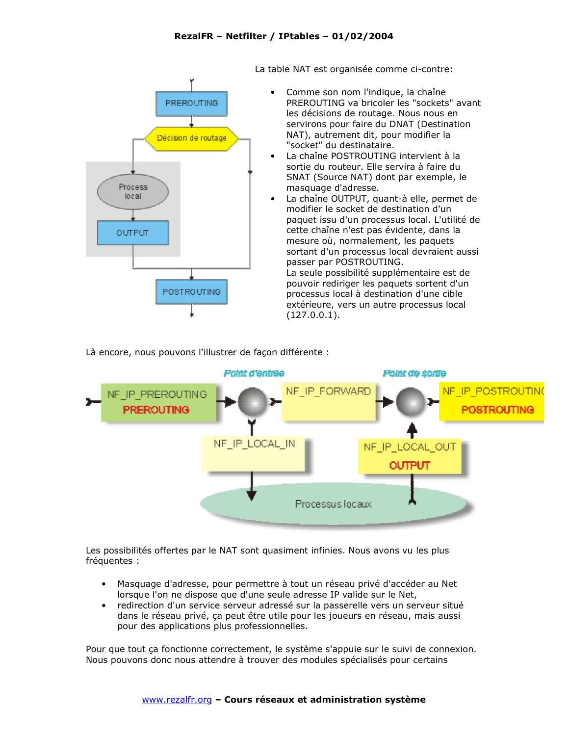

La table NAT est organisée comme ci-contre:

- Comme son nom l'indique, la chaîne PREROUTING va bricoler les "sockets" avant les décisions de routage. Nous nous en servirons pour faire du DNAT (Destination NAT), autrement dit, pour modifier la "socket" du destinataire.
- La chaîne POSTROUTING intervient à la sortie du routeur. Elle servira à faire du SNAT (Source NAT) dont par exemple, le masquage d'adresse.
- La chaîne OUTPUT, quant-à elle, permet de modifier le socket de destination d'un paquet issu d'un processus local. L'utilité de cette chaîne n'est pas évidente, dans la mesure où, normalement, les paquets sortant d'un processus local devraient aussi passer par POSTROUTING. La seule possibilité supplémentaire est de pouvoir rediriger les paquets sortent d'un processus local à destination d'une cible extérieure, vers un autre processus local  $(127.0.0.1).$

Là encore, nous pouvons l'illustrer de façon différente :



Les possibilités offertes par le NAT sont quasiment infinies. Nous avons vu les plus fréquentes :

- · Masquage d'adresse, pour permettre à tout un réseau privé d'accéder au Net lorsque l'on ne dispose que d'une seule adresse IP valide sur le Net,
- redirection d'un service serveur adressé sur la passerelle vers un serveur situé  $\bullet$ dans le réseau privé, ça peut être utile pour les joueurs en réseau, mais aussi pour des applications plus professionnelles.

Pour que tout ça fonctionne correctement, le système s'appuie sur le suivi de connexion. Nous pouvons donc nous attendre à trouver des modules spécialisés pour certains

#### www.rezalfr.org - Cours réseaux et administration système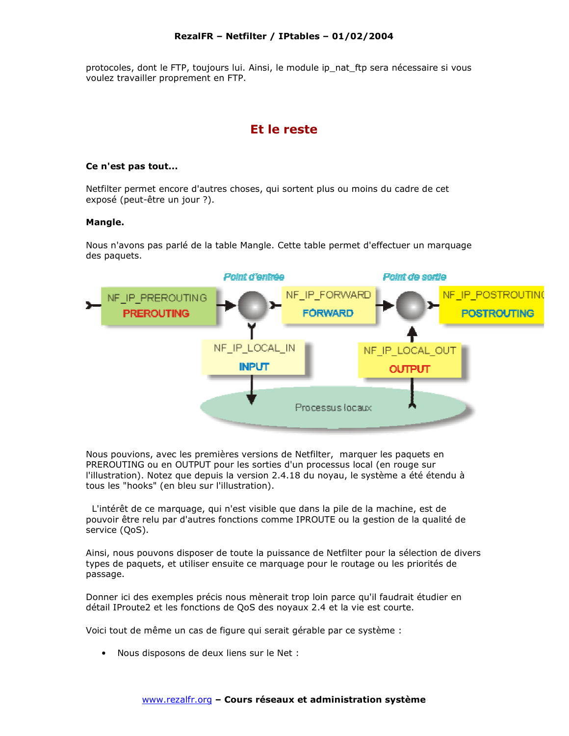protocoles, dont le FTP, toujours lui. Ainsi, le module ip nat ftp sera nécessaire si vous voulez travailler proprement en FTP.

## Et le reste

#### Ce n'est pas tout...

Netfilter permet encore d'autres choses, qui sortent plus ou moins du cadre de cet exposé (peut-être un jour ?).

#### Mangle.

Nous n'avons pas parlé de la table Mangle. Cette table permet d'effectuer un marquage des paquets.



Nous pouvions, avec les premières versions de Netfilter, marquer les paquets en PREROUTING ou en OUTPUT pour les sorties d'un processus local (en rouge sur l'illustration). Notez que depuis la version 2.4.18 du noyau, le système a été étendu à tous les "hooks" (en bleu sur l'illustration).

L'intérêt de ce marquage, qui n'est visible que dans la pile de la machine, est de pouvoir être relu par d'autres fonctions comme IPROUTE ou la gestion de la qualité de service (QoS).

Ainsi, nous pouvons disposer de toute la puissance de Netfilter pour la sélection de divers types de paquets, et utiliser ensuite ce marquage pour le routage ou les priorités de passage.

Donner ici des exemples précis nous mènerait trop loin parce qu'il faudrait étudier en détail IProute2 et les fonctions de QoS des noyaux 2.4 et la vie est courte.

Voici tout de même un cas de figure qui serait gérable par ce système :

• Nous disposons de deux liens sur le Net :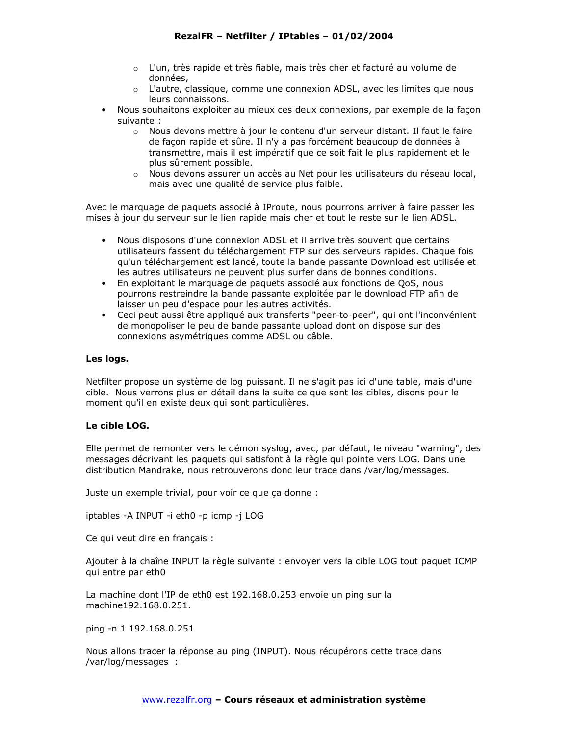- o L'un, très rapide et très fiable, mais très cher et facturé au volume de données,
- o L'autre, classique, comme une connexion ADSL, avec les limites que nous leurs connaissons.
- Nous souhaitons exploiter au mieux ces deux connexions, par exemple de la facon  $\bullet$ suivante:
	- o Nous devons mettre à jour le contenu d'un serveur distant. Il faut le faire de façon rapide et sûre. Il n'y a pas forcément beaucoup de données à transmettre, mais il est impératif que ce soit fait le plus rapidement et le plus sûrement possible.
	- o Nous devons assurer un accès au Net pour les utilisateurs du réseau local, mais avec une qualité de service plus faible.

Avec le marquage de paquets associé à IProute, nous pourrons arriver à faire passer les mises à jour du serveur sur le lien rapide mais cher et tout le reste sur le lien ADSL.

- Nous disposons d'une connexion ADSL et il arrive très souvent que certains utilisateurs fassent du téléchargement FTP sur des serveurs rapides. Chaque fois qu'un téléchargement est lancé, toute la bande passante Download est utilisée et les autres utilisateurs ne peuvent plus surfer dans de bonnes conditions.
- En exploitant le marquage de paquets associé aux fonctions de QoS, nous pourrons restreindre la bande passante exploitée par le download FTP afin de laisser un peu d'espace pour les autres activités.
- Ceci peut aussi être appliqué aux transferts "peer-to-peer", qui ont l'inconvénient de monopoliser le peu de bande passante upload dont on dispose sur des connexions asymétriques comme ADSL ou câble.

## Les logs.

Netfilter propose un système de log puissant. Il ne s'agit pas ici d'une table, mais d'une cible. Nous verrons plus en détail dans la suite ce que sont les cibles, disons pour le moment qu'il en existe deux qui sont particulières.

## Le cible LOG.

Elle permet de remonter vers le démon syslog, avec, par défaut, le niveau "warning", des messages décrivant les paquets qui satisfont à la règle qui pointe vers LOG. Dans une distribution Mandrake, nous retrouverons donc leur trace dans /var/log/messages.

Juste un exemple trivial, pour voir ce que ça donne :

iptables - A INPUT -i eth0 - p icmp -j LOG

Ce qui veut dire en français :

Ajouter à la chaîne INPUT la règle suivante : envoyer vers la cible LOG tout paquet ICMP qui entre par eth0

La machine dont l'IP de eth0 est 192.168.0.253 envoie un ping sur la machine192.168.0.251.

ping -n 1 192.168.0.251

Nous allons tracer la réponse au ping (INPUT). Nous récupérons cette trace dans /var/log/messages :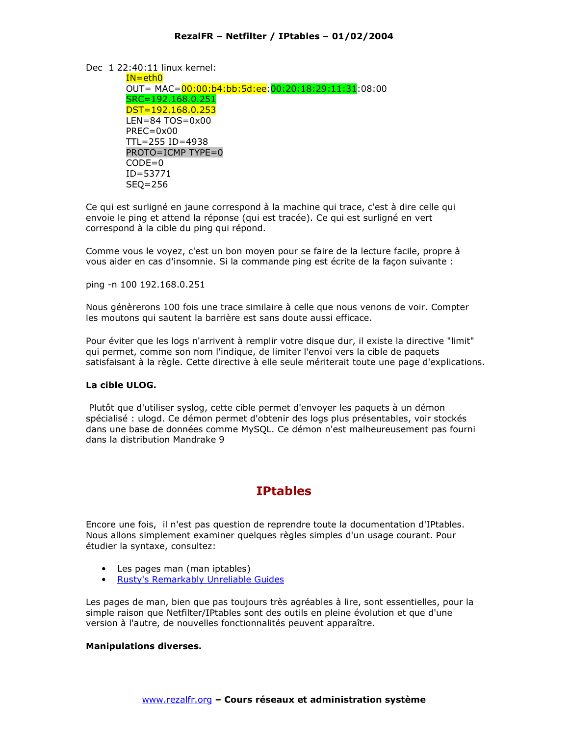Dec 1 22:40:11 linux kernel:

 $IN = <sub>eth0</sub>$ OUT= MAC=00:00:b4:bb:5d:ee:00:20:18:29:11:31:08:00 SRC=192.168.0.251  $DST = 192.168.0.253$  $LEN = 84 TOS = 0x00$  $PREC = 0 \times 00$  $TL = 255 ID = 4938$  $PROTO = ICMP$  TYPE=0  $CODE = 0$  $ID = 53771$  $SEQ = 256$ 

Ce qui est surligné en jaune correspond à la machine qui trace, c'est à dire celle qui envoie le ping et attend la réponse (qui est tracée). Ce qui est surligné en vert correspond à la cible du ping qui répond.

Comme vous le voyez, c'est un bon moyen pour se faire de la lecture facile, propre à vous aider en cas d'insomnie. Si la commande ping est écrite de la façon suivante :

ping -n 100 192.168.0.251

Nous génèrerons 100 fois une trace similaire à celle que nous venons de voir. Compter les moutons qui sautent la barrière est sans doute aussi efficace.

Pour éviter que les logs n'arrivent à remplir votre disque dur, il existe la directive "limit" qui permet, comme son nom l'indique, de limiter l'envoi vers la cible de paquets satisfaisant à la règle. Cette directive à elle seule mériterait toute une page d'explications.

## La cible ULOG.

Plutôt que d'utiliser syslog, cette cible permet d'envoyer les paquets à un démon spécialisé : ulogd. Ce démon permet d'obtenir des logs plus présentables, voir stockés dans une base de données comme MySOL. Ce démon n'est malheureusement pas fourni dans la distribution Mandrake 9

# **IPtables**

Encore une fois, il n'est pas question de reprendre toute la documentation d'IPtables. Nous allons simplement examiner quelques règles simples d'un usage courant. Pour étudier la syntaxe, consultez:

- Les pages man (man iptables)
- Rusty's Remarkably Unreliable Guides

Les pages de man, bien que pas toujours très agréables à lire, sont essentielles, pour la simple raison que Netfilter/IPtables sont des outils en pleine évolution et que d'une version à l'autre, de nouvelles fonctionnalités peuvent apparaître.

## **Manipulations diverses.**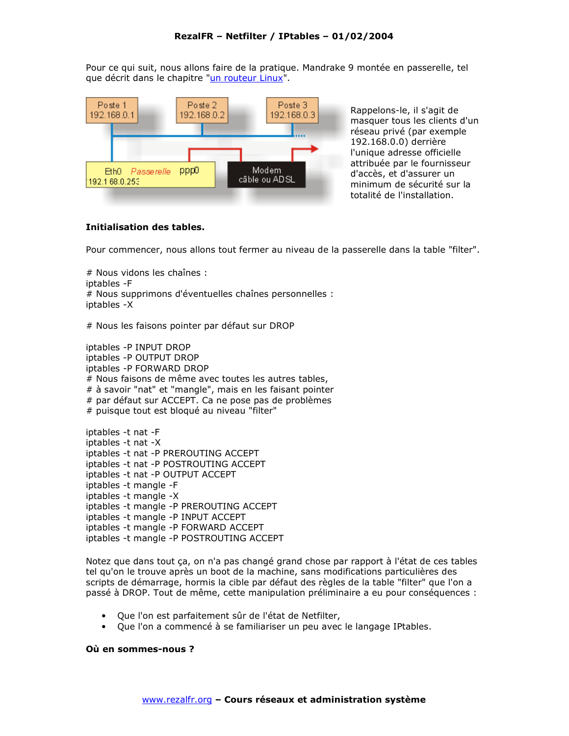Pour ce qui suit, nous allons faire de la pratique. Mandrake 9 montée en passerelle, tel que décrit dans le chapitre "un routeur Linux".



Rappelons-le, il s'agit de masquer tous les clients d'un réseau privé (par exemple 192.168.0.0) derrière l'unique adresse officielle attribuée par le fournisseur d'accès, et d'assurer un minimum de sécurité sur la totalité de l'installation.

## Initialisation des tables.

Pour commencer, nous allons tout fermer au niveau de la passerelle dans la table "filter".

# Nous vidons les chaînes : intables - F # Nous supprimons d'éventuelles chaînes personnelles : iptables -X

# Nous les faisons pointer par défaut sur DROP

iptables - P INPUT DROP iptables - P OUTPUT DROP iptables - P FORWARD DROP # Nous faisons de même avec toutes les autres tables, # à savoir "nat" et "mangle", mais en les faisant pointer # par défaut sur ACCEPT. Ca ne pose pas de problèmes # puisque tout est bloqué au niveau "filter"

iptables -t nat -F iptables -t nat -X iptables -t nat -P PREROUTING ACCEPT iptables -t nat -P POSTROUTING ACCEPT iptables -t nat -P OUTPUT ACCEPT iptables -t mangle -F iptables -t mangle -X iptables -t mangle -P PREROUTING ACCEPT iptables -t mangle -P INPUT ACCEPT iptables -t mangle -P FORWARD ACCEPT iptables -t mangle -P POSTROUTING ACCEPT

Notez que dans tout ça, on n'a pas changé grand chose par rapport à l'état de ces tables tel qu'on le trouve après un boot de la machine, sans modifications particulières des scripts de démarrage, hormis la cible par défaut des règles de la table "filter" que l'on a passé à DROP. Tout de même, cette manipulation préliminaire a eu pour conséquences :

- Que l'on est parfaitement sûr de l'état de Netfilter.
- Que l'on a commencé à se familiariser un peu avec le langage IPtables.

#### Où en sommes-nous ?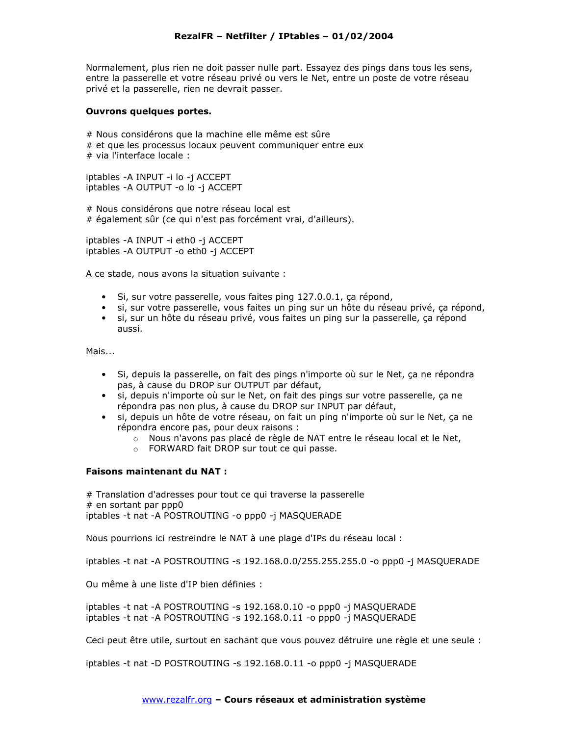Normalement, plus rien ne doit passer nulle part. Essayez des pings dans tous les sens, entre la passerelle et votre réseau privé ou vers le Net, entre un poste de votre réseau privé et la passerelle, rien ne devrait passer.

#### Ouvrons quelques portes.

# Nous considérons que la machine elle même est sûre # et que les processus locaux peuvent communiquer entre eux  $#$  via l'interface locale :

iptables -A INPUT -i lo -i ACCEPT iptables -A OUTPUT -o lo -j ACCEPT

# Nous considérons que notre réseau local est # également sûr (ce qui n'est pas forcément vrai, d'ailleurs).

iptables -A INPUT -i eth0 -j ACCEPT iptables -A OUTPUT -o eth0 -j ACCEPT

A ce stade, nous avons la situation suivante :

- Si, sur votre passerelle, vous faites ping 127.0.0.1, ça répond,
- si, sur votre passerelle, vous faites un ping sur un hôte du réseau privé, ça répond,
- si, sur un hôte du réseau privé, vous faites un ping sur la passerelle, ça répond aussi.

Mais...

- Si, depuis la passerelle, on fait des pings n'importe où sur le Net, ça ne répondra pas, à cause du DROP sur OUTPUT par défaut,
- si, depuis n'importe où sur le Net, on fait des pings sur votre passerelle, ça ne répondra pas non plus, à cause du DROP sur INPUT par défaut,
- si, depuis un hôte de votre réseau, on fait un ping n'importe où sur le Net, ça ne répondra encore pas, pour deux raisons :
	- $\circ$   $\,$  Nous n'avons pas placé de règle de NAT entre le réseau local et le Net,  $\,$
	- $\circ$  FORWARD fait DROP sur tout ce qui passe.

## Faisons maintenant du NAT :

# Translation d'adresses pour tout ce qui traverse la passerelle  $#$  en sortant par ppp0 iptables -t nat -A POSTROUTING -o ppp0 -j MASQUERADE

Nous pourrions ici restreindre le NAT à une plage d'IPs du réseau local :

iptables -t nat -A POSTROUTING -s 192.168.0.0/255.255.255.0 -o ppp0 -j MASQUERADE

Ou même à une liste d'IP bien définies :

iptables -t nat -A POSTROUTING -s 192.168.0.10 -o ppp0 -j MASQUERADE iptables -t nat -A POSTROUTING -s 192.168.0.11 -o ppp0 -j MASQUERADE

Ceci peut être utile, surtout en sachant que vous pouvez détruire une règle et une seule :

iptables -t nat -D POSTROUTING -s 192.168.0.11 -o ppp0 -j MASQUERADE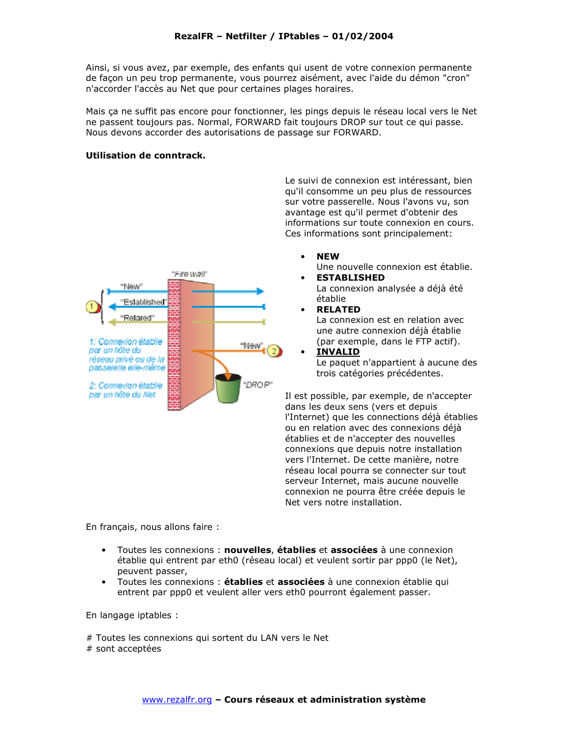Ainsi, si vous avez, par exemple, des enfants qui usent de votre connexion permanente de facon un peu trop permanente, vous pourrez aisément, avec l'aide du démon "cron" n'accorder l'accès au Net que pour certaines plages horaires.

Mais ça ne suffit pas encore pour fonctionner, les pings depuis le réseau local vers le Net ne passent toujours pas. Normal, FORWARD fait toujours DROP sur tout ce qui passe. Nous devons accorder des autorisations de passage sur FORWARD.

#### Utilisation de conntrack.



Le suivi de connexion est intéressant, bien qu'il consomme un peu plus de ressources sur votre passerelle. Nous l'avons vu, son avantage est qu'il permet d'obtenir des informations sur toute connexion en cours. Ces informations sont principalement:

**NEW** 

Une nouvelle connexion est établie. **ESTABLISHED** 

- La connexion analysée a déjà été établie
- **RELATED** La connexion est en relation avec une autre connexion déjà établie (par exemple, dans le FTP actif).
- **INVALID** Le paquet n'appartient à aucune des trois catégories précédentes.

Il est possible, par exemple, de n'accepter dans les deux sens (vers et depuis l'Internet) que les connections déjà établies ou en relation avec des connexions déjà établies et de n'accepter des nouvelles connexions que depuis notre installation vers l'Internet. De cette manière, notre réseau local pourra se connecter sur tout serveur Internet, mais aucune nouvelle connexion ne pourra être créée depuis le Net vers notre installation.

En français, nous allons faire :

- Toutes les connexions : nouvelles, établies et associées à une connexion établie qui entrent par eth0 (réseau local) et veulent sortir par ppp0 (le Net), peuvent passer,
- Toutes les connexions : établies et associées à une connexion établie qui entrent par ppp0 et veulent aller vers eth0 pourront également passer.

En langage iptables :

# Toutes les connexions qui sortent du LAN vers le Net # sont acceptées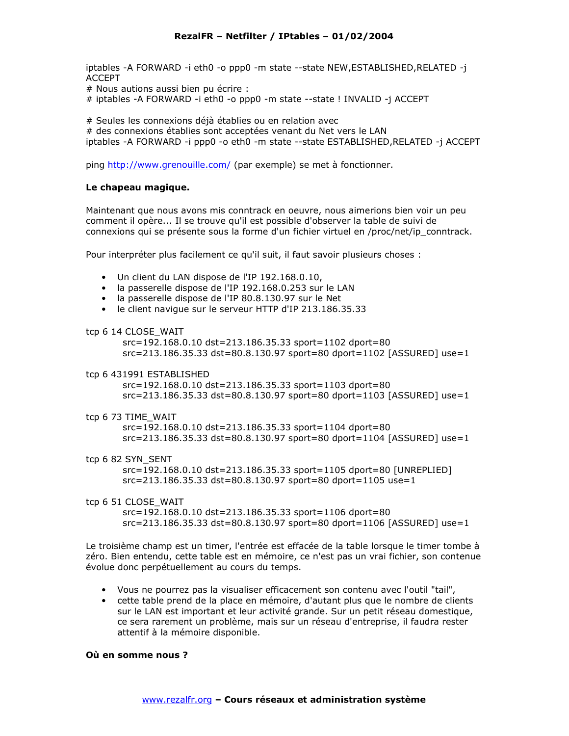iptables -A FORWARD -i eth0 -o ppp0 -m state --state NEW, ESTABLISHED, RELATED -i **ACCEPT** 

# Nous autions aussi bien pu écrire :

# iptables -A FORWARD -i eth0 -o ppp0 -m state --state ! INVALID -j ACCEPT

# Seules les connexions déjà établies ou en relation avec

# des connexions établies sont acceptées venant du Net vers le LAN

iptables -A FORWARD -i ppp0 -o eth0 -m state --state ESTABLISHED, RELATED -j ACCEPT

ping http://www.grenouille.com/ (par exemple) se met à fonctionner.

#### Le chapeau magique.

Maintenant que nous avons mis conntrack en oeuvre, nous aimerions bien voir un peu comment il opère... Il se trouve qu'il est possible d'observer la table de suivi de connexions qui se présente sous la forme d'un fichier virtuel en /proc/net/ip\_conntrack.

Pour interpréter plus facilement ce qu'il suit, il faut savoir plusieurs choses :

- Un client du LAN dispose de l'IP 192.168.0.10,
- $\bullet$  la passerelle dispose de l'IP 192.168.0.253 sur le LAN
- la passerelle dispose de l'IP 80.8.130.97 sur le Net
- le client navigue sur le serveur HTTP d'IP 213.186.35.33

#### tcp 6 14 CLOSE WAIT

src=192.168.0.10 dst=213.186.35.33 sport=1102 dport=80 src=213.186.35.33 dst=80.8.130.97 sport=80 dport=1102 [ASSURED] use=1

tcp 6 431991 ESTABLISHED

src=192.168.0.10 dst=213.186.35.33 sport=1103 dport=80 src=213.186.35.33 dst=80.8.130.97 sport=80 dport=1103 [ASSURED] use=1

tcp 6 73 TIME WAIT

src=192.168.0.10 dst=213.186.35.33 sport=1104 dport=80 src=213.186.35.33 dst=80.8.130.97 sport=80 dport=1104 [ASSURED] use=1

tcp 6 82 SYN\_SENT

src=192.168.0.10 dst=213.186.35.33 sport=1105 dport=80 [UNREPLIED] src=213.186.35.33 dst=80.8.130.97 sport=80 dport=1105 use=1

tcp 6 51 CLOSE\_WAIT src=192.168.0.10 dst=213.186.35.33 sport=1106 dport=80 src=213.186.35.33 dst=80.8.130.97 sport=80 dport=1106 [ASSURED] use=1

Le troisième champ est un timer, l'entrée est effacée de la table lorsque le timer tombe à zéro. Bien entendu, cette table est en mémoire, ce n'est pas un vrai fichier, son contenue évolue donc perpétuellement au cours du temps.

- Vous ne pourrez pas la visualiser efficacement son contenu avec l'outil "tail",
- cette table prend de la place en mémoire, d'autant plus que le nombre de clients sur le LAN est important et leur activité grande. Sur un petit réseau domestique, ce sera rarement un problème, mais sur un réseau d'entreprise, il faudra rester attentif à la mémoire disponible.

#### Où en somme nous ?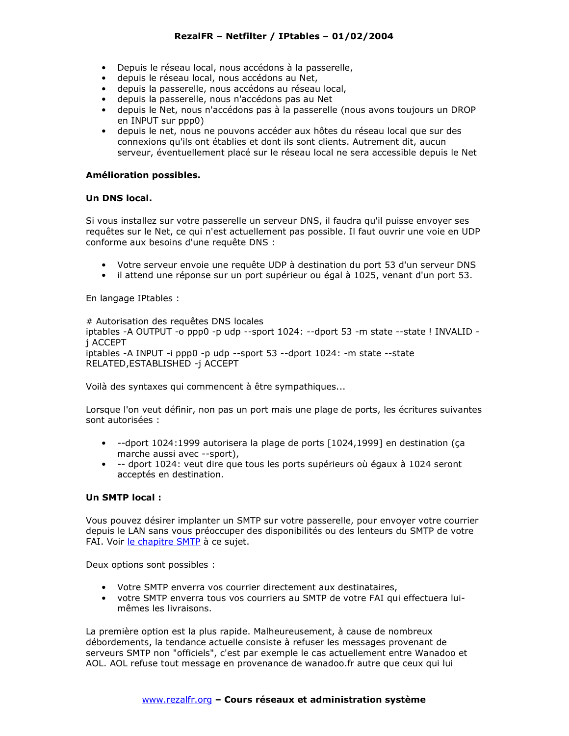- · Depuis le réseau local, nous accédons à la passerelle,
- · depuis le réseau local, nous accédons au Net,
- · depuis la passerelle, nous accédons au réseau local,
- · depuis la passerelle, nous n'accédons pas au Net
- · depuis le Net, nous n'accédons pas à la passerelle (nous avons toujours un DROP en INPUT sur ppp0)
- · depuis le net, nous ne pouvons accéder aux hôtes du réseau local que sur des connexions qu'ils ont établies et dont ils sont clients. Autrement dit, aucun serveur, éventuellement placé sur le réseau local ne sera accessible depuis le Net

## Amélioration possibles.

## Un DNS local.

Si vous installez sur votre passerelle un serveur DNS, il faudra qu'il puisse envoyer ses requêtes sur le Net, ce qui n'est actuellement pas possible. Il faut ouvrir une voie en UDP conforme aux besoins d'une requête DNS :

- Votre serveur envoie une requête UDP à destination du port 53 d'un serveur DNS
- · il attend une réponse sur un port supérieur ou égal à 1025, venant d'un port 53.

En langage IPtables :

# Autorisation des requêtes DNS locales

iptables -A OUTPUT -o ppp0 -p udp --sport 1024: --dport 53 -m state --state ! INVALID j ACCEPT iptables -A INPUT -i ppp0 -p udp --sport 53 --dport 1024: -m state --state RELATED, ESTABLISHED -j ACCEPT

Voilà des syntaxes qui commencent à être sympathiques...

Lorsque l'on veut définir, non pas un port mais une plage de ports, les écritures suivantes sont autorisées :

- --dport 1024:1999 autorisera la plage de ports [1024,1999] en destination (ca marche aussi avec --sport),
- · -- dport 1024: veut dire que tous les ports supérieurs où égaux à 1024 seront acceptés en destination.

## Un SMTP local :

Vous pouvez désirer implanter un SMTP sur votre passerelle, pour envoyer votre courrier depuis le LAN sans vous préoccuper des disponibilités ou des lenteurs du SMTP de votre FAI. Voir le chapitre SMTP à ce sujet.

Deux options sont possibles :

- Votre SMTP enverra vos courrier directement aux destinataires,
- votre SMTP enverra tous vos courriers au SMTP de votre FAI qui effectuera luimêmes les livraisons.

La première option est la plus rapide. Malheureusement, à cause de nombreux débordements, la tendance actuelle consiste à refuser les messages provenant de serveurs SMTP non "officiels", c'est par exemple le cas actuellement entre Wanadoo et AOL. AOL refuse tout message en provenance de wanadoo.fr autre que ceux qui lui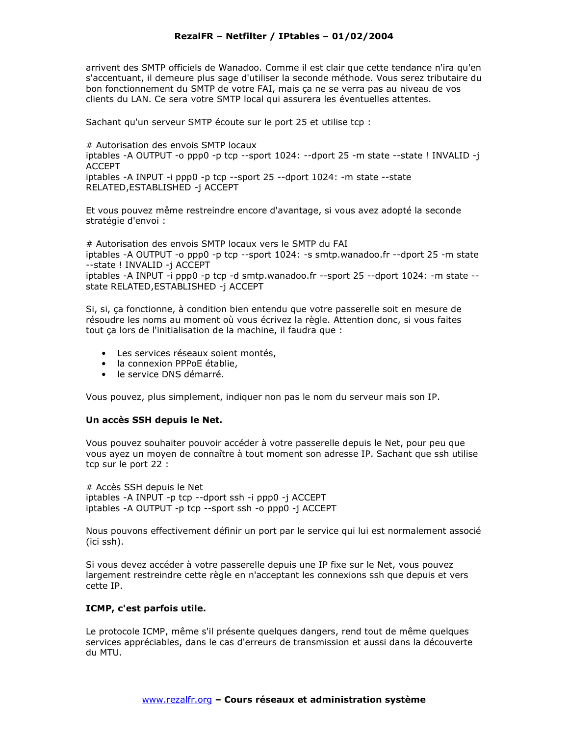arrivent des SMTP officiels de Wanadoo. Comme il est clair que cette tendance n'ira qu'en s'accentuant, il demeure plus sage d'utiliser la seconde méthode. Vous serez tributaire du bon fonctionnement du SMTP de votre FAI, mais ça ne se verra pas au niveau de vos clients du LAN. Ce sera votre SMTP local qui assurera les éventuelles attentes.

Sachant qu'un serveur SMTP écoute sur le port 25 et utilise tcp :

# Autorisation des envois SMTP locaux iptables -A OUTPUT -o ppp0 -p tcp --sport 1024: --dport 25 -m state --state ! INVALID -j ACCFPT iptables -A INPUT -i ppp0 -p tcp --sport  $25$  --dport  $1024$ : -m state --state RELATED, ESTABLISHED -j ACCEPT

Et vous pouvez même restreindre encore d'avantage, si vous avez adopté la seconde stratégie d'envoi :

# Autorisation des envois SMTP locaux vers le SMTP du FAI iptables -A OUTPUT -o ppp0 -p tcp --sport 1024: -s smtp.wanadoo.fr --dport 25 -m state --state ! INVALID -j ACCEPT iptables -A INPUT -i ppp0 -p tcp -d smtp.wanadoo.fr --sport 25 --dport 1024: -m state -state RELATED, ESTABLISHED -j ACCEPT

Si, si, ça fonctionne, à condition bien entendu que votre passerelle soit en mesure de résoudre les noms au moment où vous écrivez la règle. Attention donc, si vous faites tout ca lors de l'initialisation de la machine, il faudra que :

- Les services réseaux soient montés,
- la connexion PPPoE établie,
- le service DNS démarré.

Vous pouvez, plus simplement, indiquer non pas le nom du serveur mais son IP.

#### Un accès SSH depuis le Net.

Vous pouvez souhaiter pouvoir accéder à votre passerelle depuis le Net, pour peu que vous ayez un moyen de connaître à tout moment son adresse IP. Sachant que ssh utilise tcp sur le port 22 :

# Accès SSH depuis le Net iptables -A INPUT -p tcp --dport ssh -i ppp0 -j ACCEPT iptables -A OUTPUT -p tcp --sport ssh -o ppp0 -j ACCEPT

Nous pouvons effectivement définir un port par le service qui lui est normalement associé (ici ssh).

Si vous devez accéder à votre passerelle depuis une IP fixe sur le Net, vous pouvez largement restreindre cette règle en n'acceptant les connexions ssh que depuis et vers cette IP.

## ICMP, c'est parfois utile.

Le protocole ICMP, même s'il présente quelques dangers, rend tout de même quelques services appréciables, dans le cas d'erreurs de transmission et aussi dans la découverte du MTU.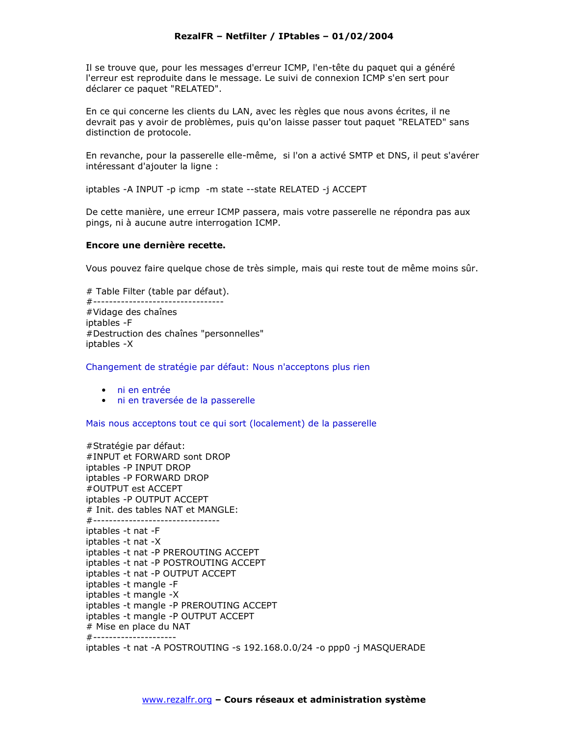Il se trouve que, pour les messages d'erreur ICMP, l'en-tête du paquet qui a généré l'erreur est reproduite dans le message. Le suivi de connexion ICMP s'en sert pour déclarer ce paquet "RELATED".

En ce qui concerne les clients du LAN, avec les règles que nous avons écrites, il ne devrait pas y avoir de problèmes, puis qu'on laisse passer tout paquet "RELATED" sans distinction de protocole.

En revanche, pour la passerelle elle-même, si l'on a activé SMTP et DNS, il peut s'avérer intéressant d'ajouter la ligne :

iptables -A INPUT -p icmp -m state --state RELATED -j ACCEPT

De cette manière, une erreur ICMP passera, mais votre passerelle ne répondra pas aux pings, ni à aucune autre interrogation ICMP.

#### Encore une dernière recette.

Vous pouvez faire quelque chose de très simple, mais qui reste tout de même moins sûr.

# Table Filter (table par défaut). #--------------------------------#Vidage des chaînes iptables - F #Destruction des chaînes "personnelles" iptables -X

Changement de stratégie par défaut: Nous n'acceptons plus rien

- ni en entrée
- · ni en traversée de la passerelle

Mais nous acceptons tout ce qui sort (localement) de la passerelle

#Stratégie par défaut: #INPUT et FORWARD sont DROP iptables - P INPUT DROP iptables - P FORWARD DROP #OUTPUT est ACCEPT iptables - P OUTPUT ACCEPT # Init. des tables NAT et MANGLE: #-------------------------------iptables -t nat -F iptables -t nat -X iptables -t nat -P PREROUTING ACCEPT iptables -t nat -P POSTROUTING ACCEPT iptables -t nat -P OUTPUT ACCEPT iptables -t mangle -F iptables -t mangle -X iptables -t mangle -P PREROUTING ACCEPT iptables -t mangle -P OUTPUT ACCEPT # Mise en place du NAT #--------------------iptables -t nat -A POSTROUTING -s 192.168.0.0/24 -o ppp0 -j MASQUERADE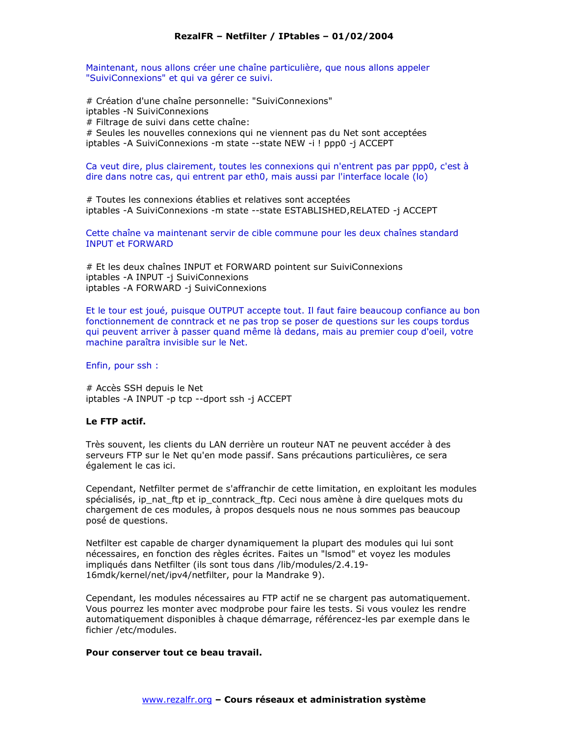Maintenant, nous allons créer une chaîne particulière, que nous allons appeler "SuiviConnexions" et qui va gérer ce suivi.

# Création d'une chaîne personnelle: "SuiviConnexions" iptables -N SuiviConnexions # Filtrage de suivi dans cette chaîne: # Seules les nouvelles connexions qui ne viennent pas du Net sont acceptées iptables - A SuiviConnexions - m state --state NEW -i ! ppp0 -j ACCEPT

Ca veut dire, plus clairement, toutes les connexions qui n'entrent pas par ppp0, c'est à dire dans notre cas, qui entrent par eth0, mais aussi par l'interface locale (lo)

# Toutes les connexions établies et relatives sont acceptées iptables - A SuiviConnexions - m state -- state ESTABLISHED, RELATED -j ACCEPT

Cette chaîne va maintenant servir de cible commune pour les deux chaînes standard **INPUT et FORWARD** 

# Et les deux chaînes INPUT et FORWARD pointent sur SuiviConnexions iptables - A INPUT - j SuiviConnexions iptables - A FORWARD -j SuiviConnexions

Et le tour est joué, puisque OUTPUT accepte tout. Il faut faire beaucoup confiance au bon fonctionnement de conntrack et ne pas trop se poser de questions sur les coups tordus qui peuvent arriver à passer quand même là dedans, mais au premier coup d'oeil, votre machine paraîtra invisible sur le Net.

Enfin, pour ssh:

# Accès SSH depuis le Net iptables - A INPUT - p tcp -- dport ssh -j ACCEPT

#### Le FTP actif.

Très souvent, les clients du LAN derrière un routeur NAT ne peuvent accéder à des serveurs FTP sur le Net qu'en mode passif. Sans précautions particulières, ce sera également le cas ici.

Cependant, Netfilter permet de s'affranchir de cette limitation, en exploitant les modules spécialisés, ip nat ftp et ip conntrack ftp. Ceci nous amène à dire quelques mots du chargement de ces modules, à propos desquels nous ne nous sommes pas beaucoup posé de questions.

Netfilter est capable de charger dynamiguement la plupart des modules qui lui sont nécessaires, en fonction des règles écrites. Faites un "Ismod" et voyez les modules impliqués dans Netfilter (ils sont tous dans /lib/modules/2.4.19-16mdk/kernel/net/ipv4/netfilter, pour la Mandrake 9).

Cependant, les modules nécessaires au FTP actif ne se chargent pas automatiquement. Vous pourrez les monter avec modprobe pour faire les tests. Si vous voulez les rendre automatiquement disponibles à chaque démarrage, référencez-les par exemple dans le fichier /etc/modules.

#### Pour conserver tout ce beau travail.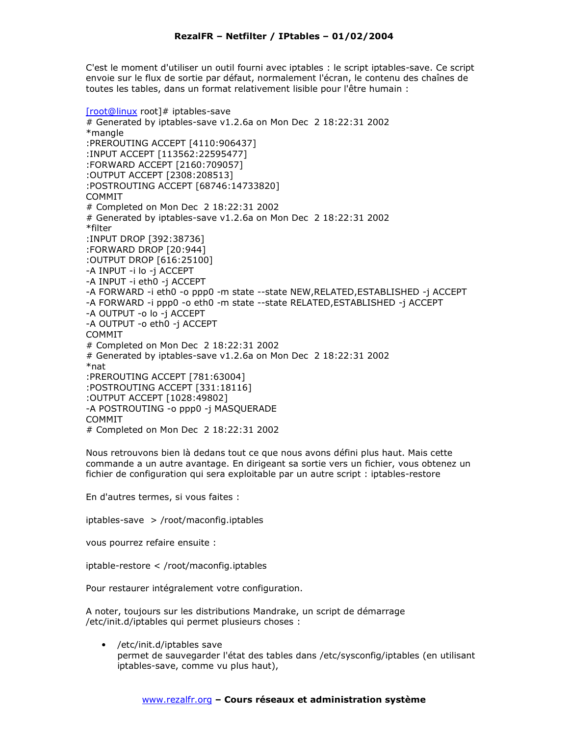C'est le moment d'utiliser un outil fourni avec iptables : le script iptables-save. Ce script envoie sur le flux de sortie par défaut, normalement l'écran, le contenu des chaînes de toutes les tables, dans un format relativement lisible pour l'être humain :

[root@linux root]# iptables-save # Generated by iptables-save v1.2.6a on Mon Dec 2 18:22:31 2002 \*mangle :PREROUTING ACCEPT [4110:906437] : INPUT ACCEPT [113562:22595477] :FORWARD ACCEPT [2160:709057] :OUTPUT ACCEPT [2308:208513] :POSTROUTING ACCEPT [68746:14733820] **COMMIT** # Completed on Mon Dec 2 18:22:31 2002 # Generated by iptables-save v1.2.6a on Mon Dec 2 18:22:31 2002 \*filter :INPUT DROP [392:38736] :FORWARD DROP [20:944] :OUTPUT DROP [616:25100] -A INPUT -i lo -j ACCEPT -A INPUT -i eth0 -j ACCEPT -A FORWARD -i eth0 -o ppp0 -m state --state NEW, RELATED, ESTABLISHED -j ACCEPT -A FORWARD -i ppp0 -o eth0 -m state --state RELATED, ESTABLISHED -j ACCEPT -A OUTPUT -o lo -j ACCEPT -A OUTPUT - o eth0 - i ACCEPT **COMMIT** # Completed on Mon Dec 2 18:22:31 2002 # Generated by iptables-save v1.2.6a on Mon Dec 2 18:22:31 2002  $*$ nat :PREROUTING ACCEPT [781:63004] :POSTROUTING ACCEPT [331:18116] :OUTPUT ACCEPT [1028:49802] -A POSTROUTING -o ppp0 -j MASQUERADE **COMMIT** # Completed on Mon Dec 2 18:22:31 2002

Nous retrouvons bien là dedans tout ce que nous avons défini plus haut. Mais cette commande a un autre avantage. En dirigeant sa sortie vers un fichier, vous obtenez un fichier de configuration qui sera exploitable par un autre script : iptables-restore

En d'autres termes, si vous faites :

iptables-save > /root/maconfig.iptables

vous pourrez refaire ensuite :

iptable-restore < /root/maconfig.iptables

Pour restaurer intégralement votre configuration.

A noter, toujours sur les distributions Mandrake, un script de démarrage /etc/init.d/iptables qui permet plusieurs choses :

/etc/init.d/iptables save permet de sauvegarder l'état des tables dans /etc/sysconfig/iptables (en utilisant iptables-save, comme vu plus haut),